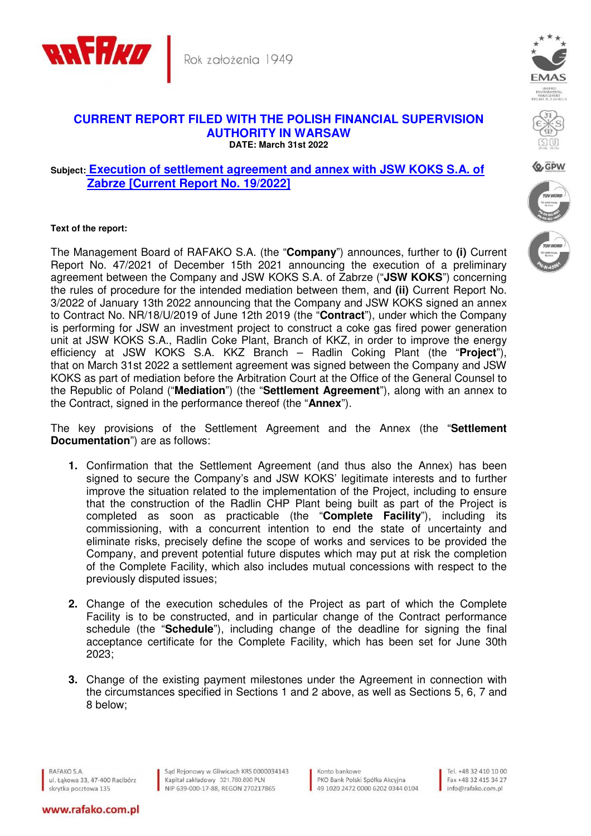

## **CURRENT REPORT FILED WITH THE POLISH FINANCIAL SUPERVISION AUTHORITY IN WARSAW DATE: March 31st 2022**

## **Subject: Execution of settlement agreement and annex with JSW KOKS S.A. of Zabrze [Current Report No. 19/2022]**

## **Text of the report:**

The Management Board of RAFAKO S.A. (the "**Company**") announces, further to **(i)** Current Report No. 47/2021 of December 15th 2021 announcing the execution of a preliminary agreement between the Company and JSW KOKS S.A. of Zabrze ("**JSW KOKS**") concerning the rules of procedure for the intended mediation between them, and **(ii)** Current Report No. 3/2022 of January 13th 2022 announcing that the Company and JSW KOKS signed an annex to Contract No. NR/18/U/2019 of June 12th 2019 (the "**Contract**"), under which the Company is performing for JSW an investment project to construct a coke gas fired power generation unit at JSW KOKS S.A., Radlin Coke Plant, Branch of KKZ, in order to improve the energy efficiency at JSW KOKS S.A. KKZ Branch – Radlin Coking Plant (the "**Project**"), that on March 31st 2022 a settlement agreement was signed between the Company and JSW KOKS as part of mediation before the Arbitration Court at the Office of the General Counsel to the Republic of Poland ("**Mediation**") (the "**Settlement Agreement**"), along with an annex to the Contract, signed in the performance thereof (the "**Annex**").

The key provisions of the Settlement Agreement and the Annex (the "**Settlement Documentation**") are as follows:

- **1.** Confirmation that the Settlement Agreement (and thus also the Annex) has been signed to secure the Company's and JSW KOKS' legitimate interests and to further improve the situation related to the implementation of the Project, including to ensure that the construction of the Radlin CHP Plant being built as part of the Project is completed as soon as practicable (the "**Complete Facility**"), including its commissioning, with a concurrent intention to end the state of uncertainty and eliminate risks, precisely define the scope of works and services to be provided the Company, and prevent potential future disputes which may put at risk the completion of the Complete Facility, which also includes mutual concessions with respect to the previously disputed issues;
- **2.** Change of the execution schedules of the Project as part of which the Complete Facility is to be constructed, and in particular change of the Contract performance schedule (the "**Schedule**"), including change of the deadline for signing the final acceptance certificate for the Complete Facility, which has been set for June 30th 2023;
- **3.** Change of the existing payment milestones under the Agreement in connection with the circumstances specified in Sections 1 and 2 above, as well as Sections 5, 6, 7 and 8 below;

RAFAKO S.A. ul. Łąkowa 33, 47-400 Racibórz skrytka pocztowa 135

www.rafako.com.pl

Sąd Rejonowy w Gliwicach KRS 0000034143 Sąd Rejonowy w Gliwicach KRS 0000034<br>Kapitał zakładowy 321.760.890 PLN<br>NIP 639-000-17-88, REGON 270217865

Konto bankowe PKO Bank Polski Spółka Akcyjna 49 1020 2472 0000 6202 0344 0104

Tel. +48 32 410 10 00 Fax +48 32 415 34 27 info@rafako.com.pl





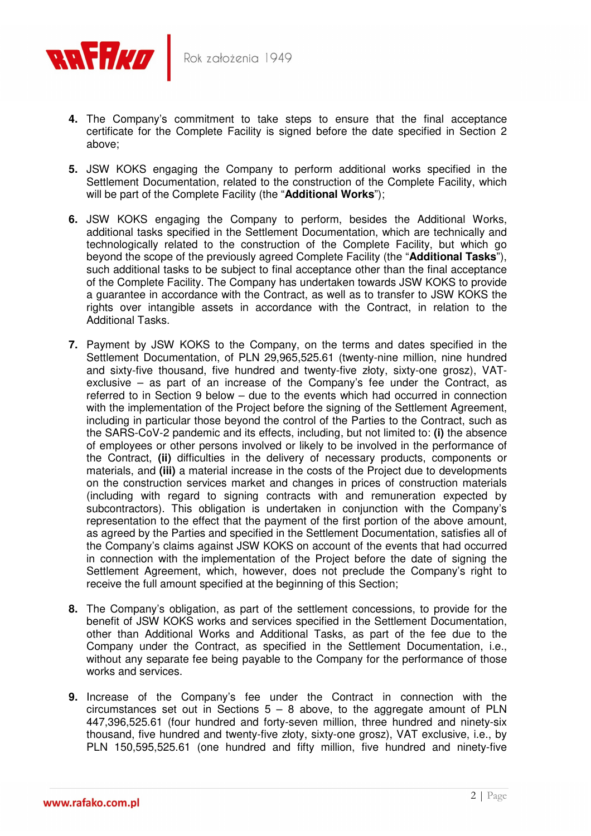

- **4.** The Company's commitment to take steps to ensure that the final acceptance certificate for the Complete Facility is signed before the date specified in Section 2 above;
- **5.** JSW KOKS engaging the Company to perform additional works specified in the Settlement Documentation, related to the construction of the Complete Facility, which will be part of the Complete Facility (the "**Additional Works**");
- **6.** JSW KOKS engaging the Company to perform, besides the Additional Works, additional tasks specified in the Settlement Documentation, which are technically and technologically related to the construction of the Complete Facility, but which go beyond the scope of the previously agreed Complete Facility (the "**Additional Tasks**"), such additional tasks to be subject to final acceptance other than the final acceptance of the Complete Facility. The Company has undertaken towards JSW KOKS to provide a guarantee in accordance with the Contract, as well as to transfer to JSW KOKS the rights over intangible assets in accordance with the Contract, in relation to the Additional Tasks.
- **7.** Payment by JSW KOKS to the Company, on the terms and dates specified in the Settlement Documentation, of PLN 29,965,525.61 (twenty-nine million, nine hundred and sixty-five thousand, five hundred and twenty-five złoty, sixty-one grosz), VATexclusive – as part of an increase of the Company's fee under the Contract, as referred to in Section 9 below – due to the events which had occurred in connection with the implementation of the Project before the signing of the Settlement Agreement, including in particular those beyond the control of the Parties to the Contract, such as the SARS-CoV-2 pandemic and its effects, including, but not limited to: **(i)** the absence of employees or other persons involved or likely to be involved in the performance of the Contract, **(ii)** difficulties in the delivery of necessary products, components or materials, and **(iii)** a material increase in the costs of the Project due to developments on the construction services market and changes in prices of construction materials (including with regard to signing contracts with and remuneration expected by subcontractors). This obligation is undertaken in conjunction with the Company's representation to the effect that the payment of the first portion of the above amount, as agreed by the Parties and specified in the Settlement Documentation, satisfies all of the Company's claims against JSW KOKS on account of the events that had occurred in connection with the implementation of the Project before the date of signing the Settlement Agreement, which, however, does not preclude the Company's right to receive the full amount specified at the beginning of this Section;
- **8.** The Company's obligation, as part of the settlement concessions, to provide for the benefit of JSW KOKS works and services specified in the Settlement Documentation, other than Additional Works and Additional Tasks, as part of the fee due to the Company under the Contract, as specified in the Settlement Documentation, i.e., without any separate fee being payable to the Company for the performance of those works and services.
- **9.** Increase of the Company's fee under the Contract in connection with the circumstances set out in Sections  $5 - 8$  above, to the aggregate amount of PLN 447,396,525.61 (four hundred and forty-seven million, three hundred and ninety-six thousand, five hundred and twenty-five złoty, sixty-one grosz), VAT exclusive, i.e., by PLN 150,595,525.61 (one hundred and fifty million, five hundred and ninety-five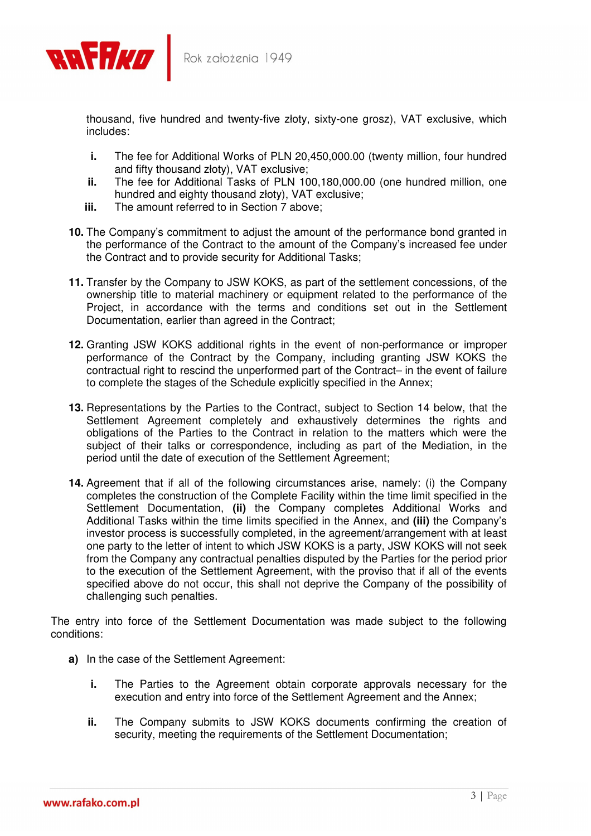

thousand, five hundred and twenty-five złoty, sixty-one grosz), VAT exclusive, which includes:

- **i.** The fee for Additional Works of PLN 20,450,000.00 (twenty million, four hundred and fifty thousand złoty), VAT exclusive;
- **ii.** The fee for Additional Tasks of PLN 100,180,000.00 (one hundred million, one hundred and eighty thousand złoty), VAT exclusive;
- **iii.** The amount referred to in Section 7 above:
- **10.** The Company's commitment to adjust the amount of the performance bond granted in the performance of the Contract to the amount of the Company's increased fee under the Contract and to provide security for Additional Tasks;
- **11.** Transfer by the Company to JSW KOKS, as part of the settlement concessions, of the ownership title to material machinery or equipment related to the performance of the Project, in accordance with the terms and conditions set out in the Settlement Documentation, earlier than agreed in the Contract;
- **12.** Granting JSW KOKS additional rights in the event of non-performance or improper performance of the Contract by the Company, including granting JSW KOKS the contractual right to rescind the unperformed part of the Contract– in the event of failure to complete the stages of the Schedule explicitly specified in the Annex;
- **13.** Representations by the Parties to the Contract, subject to Section 14 below, that the Settlement Agreement completely and exhaustively determines the rights and obligations of the Parties to the Contract in relation to the matters which were the subject of their talks or correspondence, including as part of the Mediation, in the period until the date of execution of the Settlement Agreement;
- **14.** Agreement that if all of the following circumstances arise, namely: (i) the Company completes the construction of the Complete Facility within the time limit specified in the Settlement Documentation, **(ii)** the Company completes Additional Works and Additional Tasks within the time limits specified in the Annex, and **(iii)** the Company's investor process is successfully completed, in the agreement/arrangement with at least one party to the letter of intent to which JSW KOKS is a party, JSW KOKS will not seek from the Company any contractual penalties disputed by the Parties for the period prior to the execution of the Settlement Agreement, with the proviso that if all of the events specified above do not occur, this shall not deprive the Company of the possibility of challenging such penalties.

The entry into force of the Settlement Documentation was made subject to the following conditions:

- **a)** In the case of the Settlement Agreement:
	- **i.** The Parties to the Agreement obtain corporate approvals necessary for the execution and entry into force of the Settlement Agreement and the Annex;
	- **ii.** The Company submits to JSW KOKS documents confirming the creation of security, meeting the requirements of the Settlement Documentation;